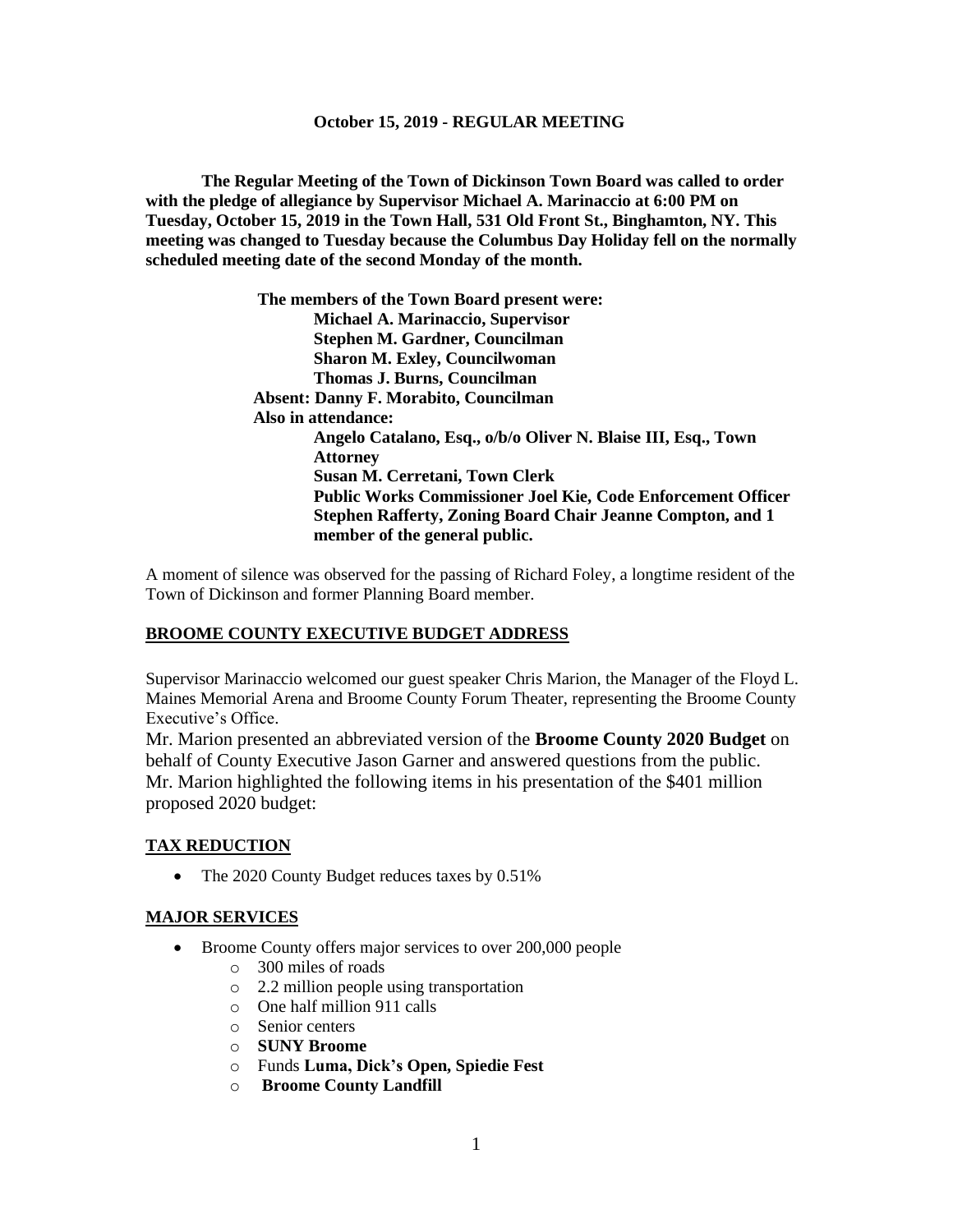**The Regular Meeting of the Town of Dickinson Town Board was called to order with the pledge of allegiance by Supervisor Michael A. Marinaccio at 6:00 PM on Tuesday, October 15, 2019 in the Town Hall, 531 Old Front St., Binghamton, NY. This meeting was changed to Tuesday because the Columbus Day Holiday fell on the normally scheduled meeting date of the second Monday of the month.**

> **The members of the Town Board present were: Michael A. Marinaccio, Supervisor Stephen M. Gardner, Councilman Sharon M. Exley, Councilwoman Thomas J. Burns, Councilman Absent: Danny F. Morabito, Councilman Also in attendance: Angelo Catalano, Esq., o/b/o Oliver N. Blaise III, Esq., Town Attorney Susan M. Cerretani, Town Clerk Public Works Commissioner Joel Kie, Code Enforcement Officer Stephen Rafferty, Zoning Board Chair Jeanne Compton, and 1 member of the general public.**

A moment of silence was observed for the passing of Richard Foley, a longtime resident of the Town of Dickinson and former Planning Board member.

## **BROOME COUNTY EXECUTIVE BUDGET ADDRESS**

Supervisor Marinaccio welcomed our guest speaker Chris Marion, the Manager of the Floyd L. Maines Memorial Arena and Broome County Forum Theater, representing the Broome County Executive's Office.

Mr. Marion presented an abbreviated version of the **Broome County 2020 Budget** on behalf of County Executive Jason Garner and answered questions from the public. Mr. Marion highlighted the following items in his presentation of the \$401 million proposed 2020 budget:

## **TAX REDUCTION**

• The 2020 County Budget reduces taxes by 0.51%

## **MAJOR SERVICES**

- Broome County offers major services to over 200,000 people
	- o 300 miles of roads
	- o 2.2 million people using transportation
	- o One half million 911 calls
	- o Senior centers
	- o **SUNY Broome**
	- o Funds **Luma, Dick's Open, Spiedie Fest**
	- o **Broome County Landfill**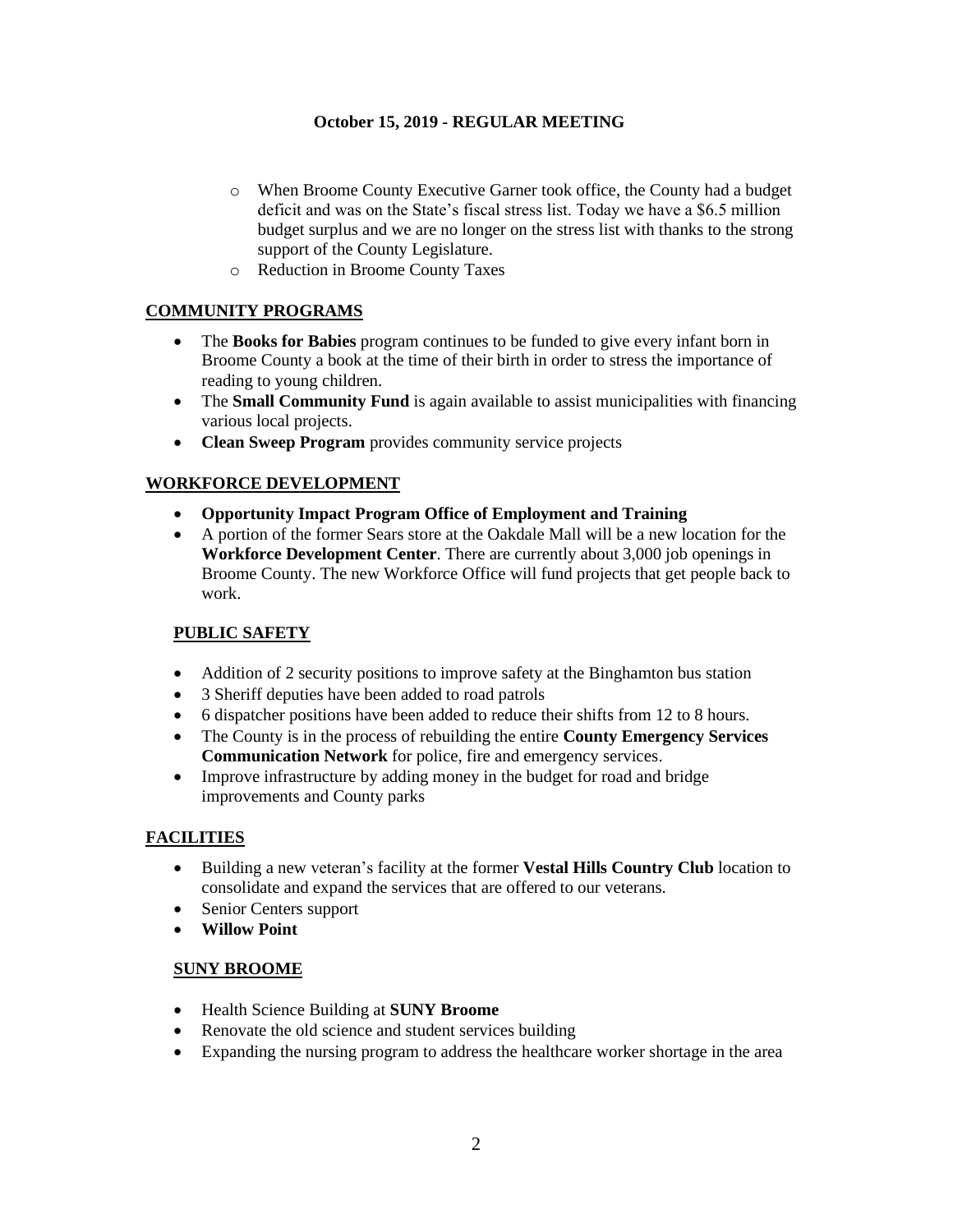- o When Broome County Executive Garner took office, the County had a budget deficit and was on the State's fiscal stress list. Today we have a \$6.5 million budget surplus and we are no longer on the stress list with thanks to the strong support of the County Legislature.
- o Reduction in Broome County Taxes

# **COMMUNITY PROGRAMS**

- The **Books for Babies** program continues to be funded to give every infant born in Broome County a book at the time of their birth in order to stress the importance of reading to young children.
- The **Small Community Fund** is again available to assist municipalities with financing various local projects.
- **Clean Sweep Program** provides community service projects

# **WORKFORCE DEVELOPMENT**

- **Opportunity Impact Program Office of Employment and Training**
- A portion of the former Sears store at the Oakdale Mall will be a new location for the **Workforce Development Center**. There are currently about 3,000 job openings in Broome County. The new Workforce Office will fund projects that get people back to work.

# **PUBLIC SAFETY**

- Addition of 2 security positions to improve safety at the Binghamton bus station
- 3 Sheriff deputies have been added to road patrols
- 6 dispatcher positions have been added to reduce their shifts from 12 to 8 hours.
- The County is in the process of rebuilding the entire **County Emergency Services Communication Network** for police, fire and emergency services.
- Improve infrastructure by adding money in the budget for road and bridge improvements and County parks

# **FACILITIES**

- Building a new veteran's facility at the former **Vestal Hills Country Club** location to consolidate and expand the services that are offered to our veterans.
- Senior Centers support
- **Willow Point**

## **SUNY BROOME**

- Health Science Building at **SUNY Broome**
- Renovate the old science and student services building
- Expanding the nursing program to address the healthcare worker shortage in the area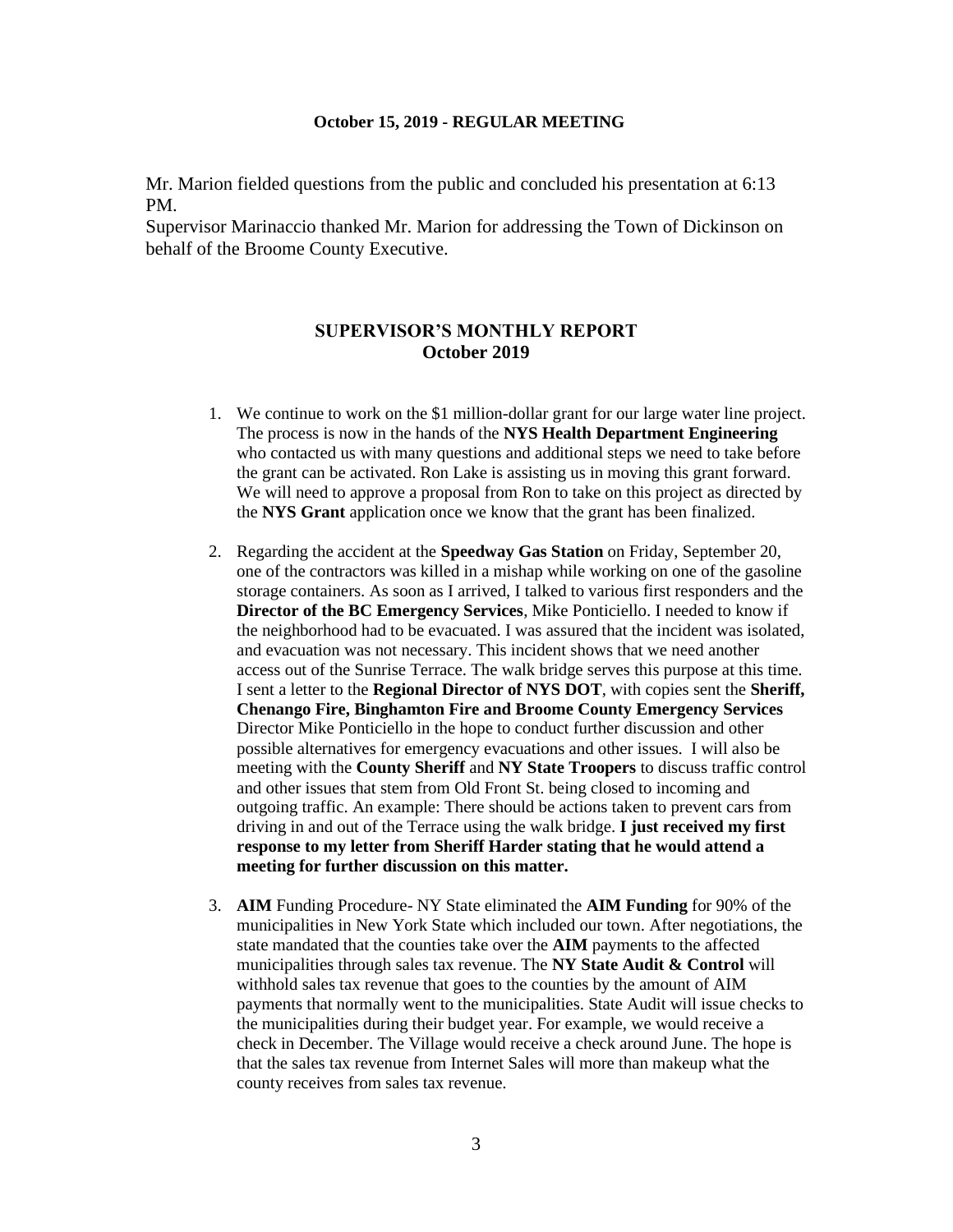Mr. Marion fielded questions from the public and concluded his presentation at 6:13 PM.

Supervisor Marinaccio thanked Mr. Marion for addressing the Town of Dickinson on behalf of the Broome County Executive.

# **SUPERVISOR'S MONTHLY REPORT October 2019**

- 1. We continue to work on the \$1 million-dollar grant for our large water line project. The process is now in the hands of the **NYS Health Department Engineering** who contacted us with many questions and additional steps we need to take before the grant can be activated. Ron Lake is assisting us in moving this grant forward. We will need to approve a proposal from Ron to take on this project as directed by the **NYS Grant** application once we know that the grant has been finalized.
- 2. Regarding the accident at the **Speedway Gas Station** on Friday, September 20, one of the contractors was killed in a mishap while working on one of the gasoline storage containers. As soon as I arrived, I talked to various first responders and the **Director of the BC Emergency Services**, Mike Ponticiello. I needed to know if the neighborhood had to be evacuated. I was assured that the incident was isolated, and evacuation was not necessary. This incident shows that we need another access out of the Sunrise Terrace. The walk bridge serves this purpose at this time. I sent a letter to the **Regional Director of NYS DOT**, with copies sent the **Sheriff, Chenango Fire, Binghamton Fire and Broome County Emergency Services** Director Mike Ponticiello in the hope to conduct further discussion and other possible alternatives for emergency evacuations and other issues. I will also be meeting with the **County Sheriff** and **NY State Troopers** to discuss traffic control and other issues that stem from Old Front St. being closed to incoming and outgoing traffic. An example: There should be actions taken to prevent cars from driving in and out of the Terrace using the walk bridge. **I just received my first response to my letter from Sheriff Harder stating that he would attend a meeting for further discussion on this matter.**
- 3. **AIM** Funding Procedure- NY State eliminated the **AIM Funding** for 90% of the municipalities in New York State which included our town. After negotiations, the state mandated that the counties take over the **AIM** payments to the affected municipalities through sales tax revenue. The **NY State Audit & Control** will withhold sales tax revenue that goes to the counties by the amount of AIM payments that normally went to the municipalities. State Audit will issue checks to the municipalities during their budget year. For example, we would receive a check in December. The Village would receive a check around June. The hope is that the sales tax revenue from Internet Sales will more than makeup what the county receives from sales tax revenue.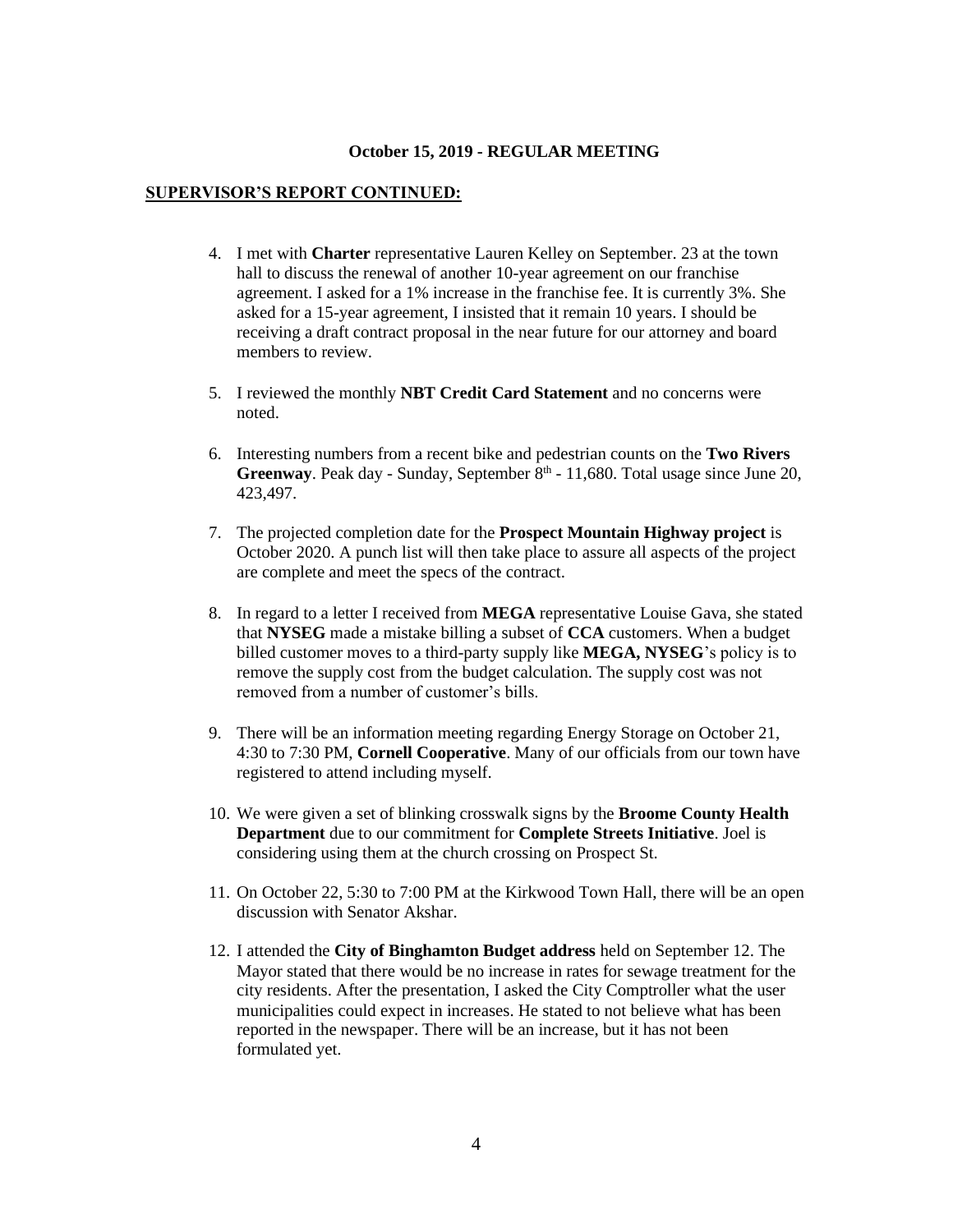#### **SUPERVISOR'S REPORT CONTINUED:**

- 4. I met with **Charter** representative Lauren Kelley on September. 23 at the town hall to discuss the renewal of another 10-year agreement on our franchise agreement. I asked for a 1% increase in the franchise fee. It is currently 3%. She asked for a 15-year agreement, I insisted that it remain 10 years. I should be receiving a draft contract proposal in the near future for our attorney and board members to review.
- 5. I reviewed the monthly **NBT Credit Card Statement** and no concerns were noted.
- 6. Interesting numbers from a recent bike and pedestrian counts on the **Two Rivers**  Greenway. Peak day - Sunday, September 8<sup>th</sup> - 11,680. Total usage since June 20, 423,497.
- 7. The projected completion date for the **Prospect Mountain Highway project** is October 2020. A punch list will then take place to assure all aspects of the project are complete and meet the specs of the contract.
- 8. In regard to a letter I received from **MEGA** representative Louise Gava, she stated that **NYSEG** made a mistake billing a subset of **CCA** customers. When a budget billed customer moves to a third-party supply like **MEGA, NYSEG**'s policy is to remove the supply cost from the budget calculation. The supply cost was not removed from a number of customer's bills.
- 9. There will be an information meeting regarding Energy Storage on October 21, 4:30 to 7:30 PM, **Cornell Cooperative**. Many of our officials from our town have registered to attend including myself.
- 10. We were given a set of blinking crosswalk signs by the **Broome County Health Department** due to our commitment for **Complete Streets Initiative**. Joel is considering using them at the church crossing on Prospect St.
- 11. On October 22, 5:30 to 7:00 PM at the Kirkwood Town Hall, there will be an open discussion with Senator Akshar.
- 12. I attended the **City of Binghamton Budget address** held on September 12. The Mayor stated that there would be no increase in rates for sewage treatment for the city residents. After the presentation, I asked the City Comptroller what the user municipalities could expect in increases. He stated to not believe what has been reported in the newspaper. There will be an increase, but it has not been formulated yet.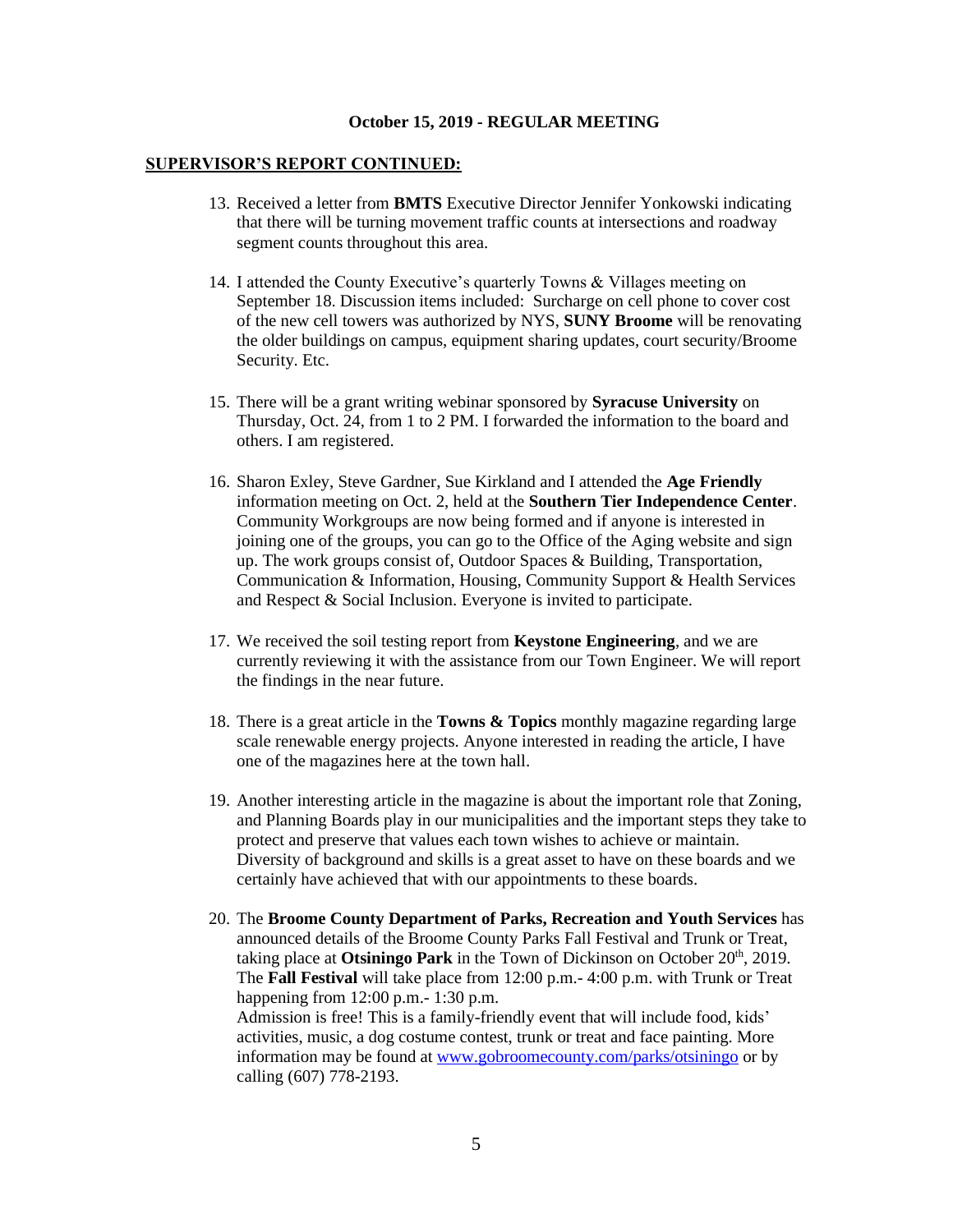#### **SUPERVISOR'S REPORT CONTINUED:**

- 13. Received a letter from **BMTS** Executive Director Jennifer Yonkowski indicating that there will be turning movement traffic counts at intersections and roadway segment counts throughout this area.
- 14. I attended the County Executive's quarterly Towns & Villages meeting on September 18. Discussion items included: Surcharge on cell phone to cover cost of the new cell towers was authorized by NYS, **SUNY Broome** will be renovating the older buildings on campus, equipment sharing updates, court security/Broome Security. Etc.
- 15. There will be a grant writing webinar sponsored by **Syracuse University** on Thursday, Oct. 24, from 1 to 2 PM. I forwarded the information to the board and others. I am registered.
- 16. Sharon Exley, Steve Gardner, Sue Kirkland and I attended the **Age Friendly** information meeting on Oct. 2, held at the **Southern Tier Independence Center**. Community Workgroups are now being formed and if anyone is interested in joining one of the groups, you can go to the Office of the Aging website and sign up. The work groups consist of, Outdoor Spaces & Building, Transportation, Communication & Information, Housing, Community Support & Health Services and Respect & Social Inclusion. Everyone is invited to participate.
- 17. We received the soil testing report from **Keystone Engineering**, and we are currently reviewing it with the assistance from our Town Engineer. We will report the findings in the near future.
- 18. There is a great article in the **Towns & Topics** monthly magazine regarding large scale renewable energy projects. Anyone interested in reading the article, I have one of the magazines here at the town hall.
- 19. Another interesting article in the magazine is about the important role that Zoning, and Planning Boards play in our municipalities and the important steps they take to protect and preserve that values each town wishes to achieve or maintain. Diversity of background and skills is a great asset to have on these boards and we certainly have achieved that with our appointments to these boards.
- 20. The **Broome County Department of Parks, Recreation and Youth Services** has announced details of the Broome County Parks Fall Festival and Trunk or Treat, taking place at Otsiningo Park in the Town of Dickinson on October 20<sup>th</sup>, 2019. The **Fall Festival** will take place from 12:00 p.m.- 4:00 p.m. with Trunk or Treat happening from 12:00 p.m.- 1:30 p.m. Admission is free! This is a family-friendly event that will include food, kids' activities, music, a dog costume contest, trunk or treat and face painting. More information may be found at [www.gobroomecounty.com/parks/otsiningo](http://www.gobroomecounty.com/parks/otsiningo) or by calling (607) 778-2193.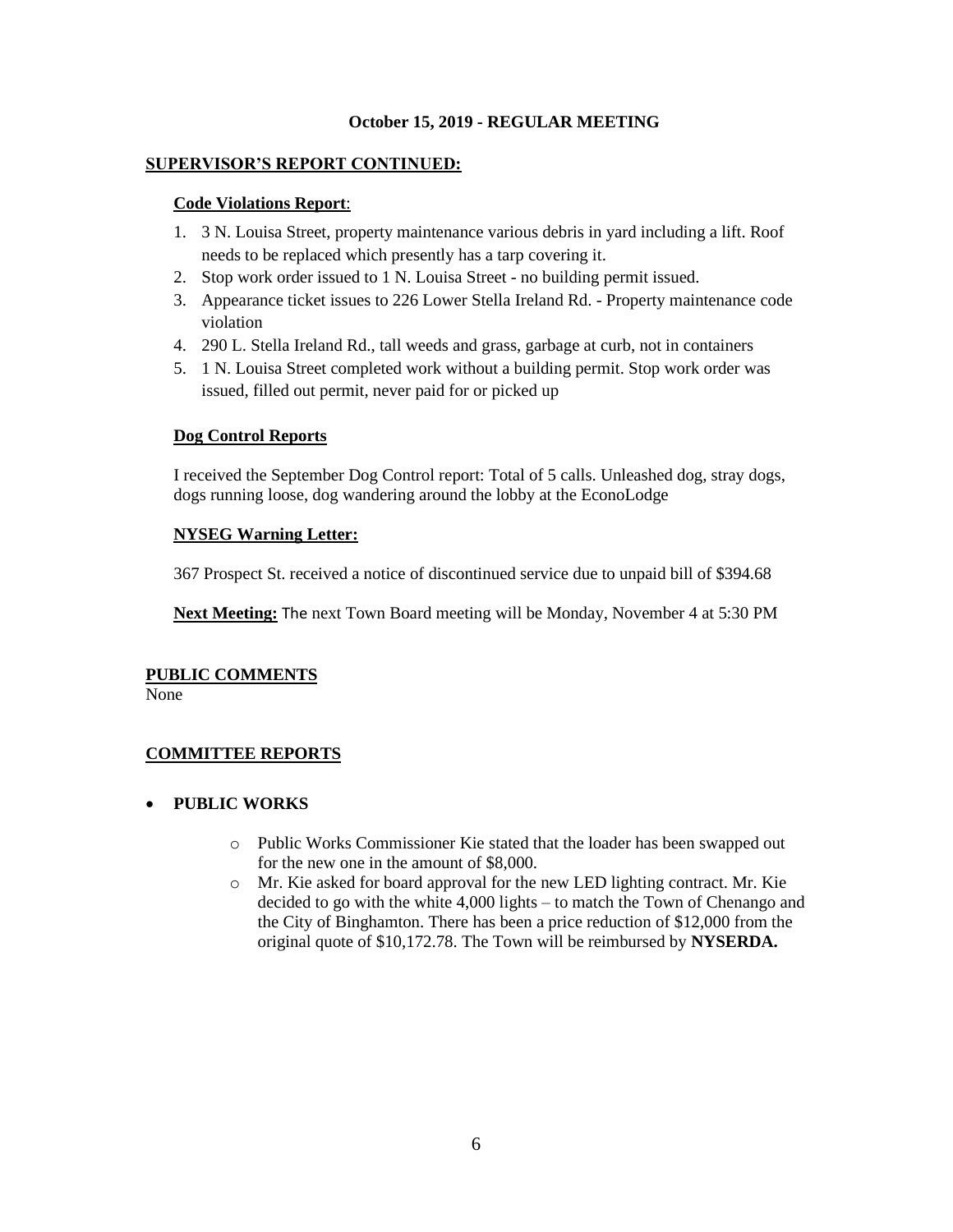## **SUPERVISOR'S REPORT CONTINUED:**

### **Code Violations Report**:

- 1. 3 N. Louisa Street, property maintenance various debris in yard including a lift. Roof needs to be replaced which presently has a tarp covering it.
- 2. Stop work order issued to 1 N. Louisa Street no building permit issued.
- 3. Appearance ticket issues to 226 Lower Stella Ireland Rd. Property maintenance code violation
- 4. 290 L. Stella Ireland Rd., tall weeds and grass, garbage at curb, not in containers
- 5. 1 N. Louisa Street completed work without a building permit. Stop work order was issued, filled out permit, never paid for or picked up

## **Dog Control Reports**

I received the September Dog Control report: Total of 5 calls. Unleashed dog, stray dogs, dogs running loose, dog wandering around the lobby at the EconoLodge

# **NYSEG Warning Letter:**

367 Prospect St. received a notice of discontinued service due to unpaid bill of \$394.68

**Next Meeting:** The next Town Board meeting will be Monday, November 4 at 5:30 PM

# **PUBLIC COMMENTS**

None

# **COMMITTEE REPORTS**

# • **PUBLIC WORKS**

- o Public Works Commissioner Kie stated that the loader has been swapped out for the new one in the amount of \$8,000.
- o Mr. Kie asked for board approval for the new LED lighting contract. Mr. Kie decided to go with the white 4,000 lights – to match the Town of Chenango and the City of Binghamton. There has been a price reduction of \$12,000 from the original quote of \$10,172.78. The Town will be reimbursed by **NYSERDA.**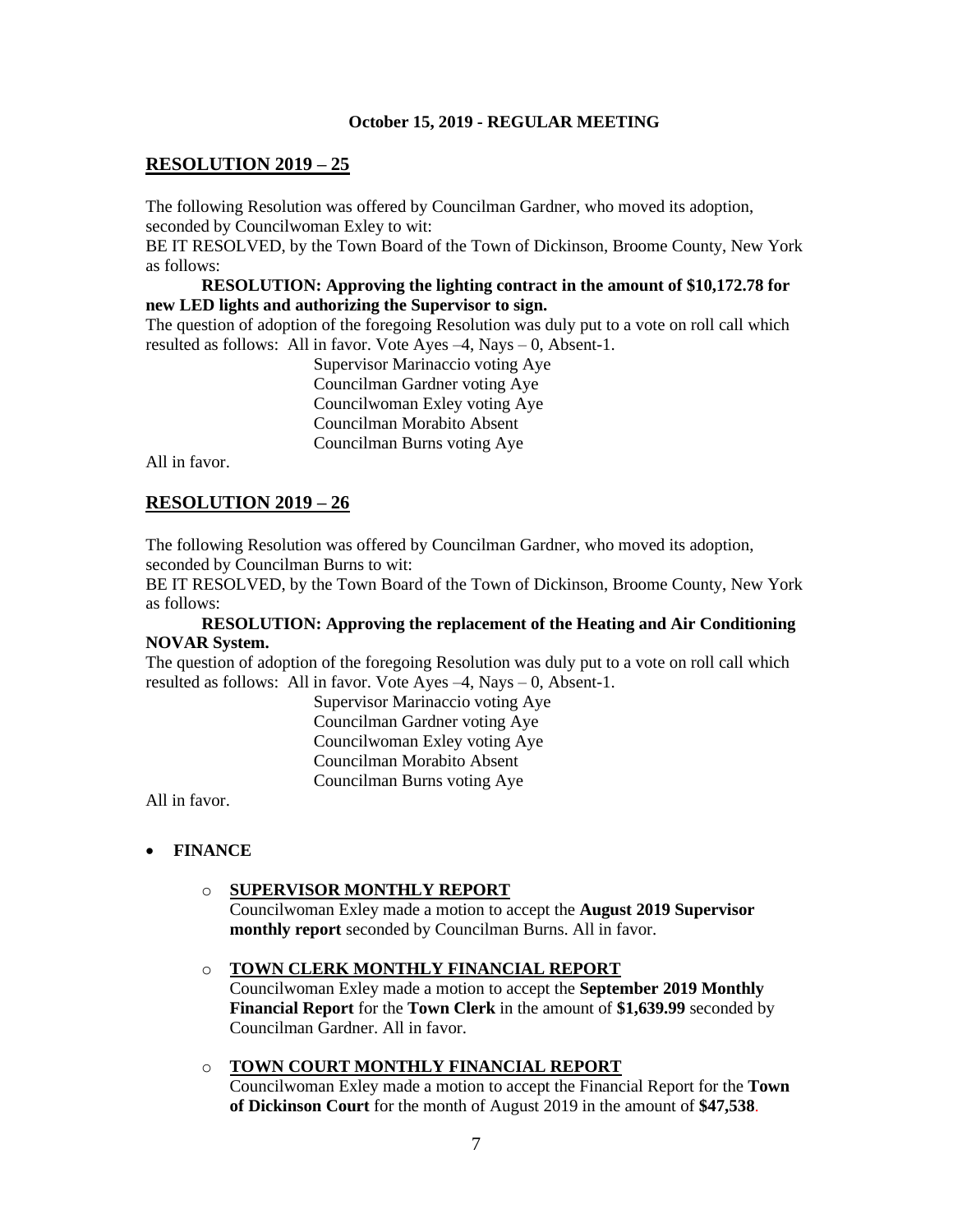# **RESOLUTION 2019 – 25**

The following Resolution was offered by Councilman Gardner, who moved its adoption, seconded by Councilwoman Exley to wit:

BE IT RESOLVED, by the Town Board of the Town of Dickinson, Broome County, New York as follows:

### **RESOLUTION: Approving the lighting contract in the amount of \$10,172.78 for new LED lights and authorizing the Supervisor to sign.**

The question of adoption of the foregoing Resolution was duly put to a vote on roll call which resulted as follows: All in favor. Vote Ayes –4, Nays – 0, Absent-1.

> Supervisor Marinaccio voting Aye Councilman Gardner voting Aye Councilwoman Exley voting Aye Councilman Morabito Absent Councilman Burns voting Aye

All in favor.

## **RESOLUTION 2019 – 26**

The following Resolution was offered by Councilman Gardner, who moved its adoption, seconded by Councilman Burns to wit:

BE IT RESOLVED, by the Town Board of the Town of Dickinson, Broome County, New York as follows:

# **RESOLUTION: Approving the replacement of the Heating and Air Conditioning NOVAR System.**

The question of adoption of the foregoing Resolution was duly put to a vote on roll call which resulted as follows: All in favor. Vote Ayes –4, Nays – 0, Absent-1.

> Supervisor Marinaccio voting Aye Councilman Gardner voting Aye Councilwoman Exley voting Aye Councilman Morabito Absent Councilman Burns voting Aye

All in favor.

#### • **FINANCE**

#### o **SUPERVISOR MONTHLY REPORT**

Councilwoman Exley made a motion to accept the **August 2019 Supervisor monthly report** seconded by Councilman Burns. All in favor.

#### o **TOWN CLERK MONTHLY FINANCIAL REPORT**

Councilwoman Exley made a motion to accept the **September 2019 Monthly Financial Report** for the **Town Clerk** in the amount of **\$1,639.99** seconded by Councilman Gardner. All in favor.

### o **TOWN COURT MONTHLY FINANCIAL REPORT**

Councilwoman Exley made a motion to accept the Financial Report for the **Town of Dickinson Court** for the month of August 2019 in the amount of **\$47,538**.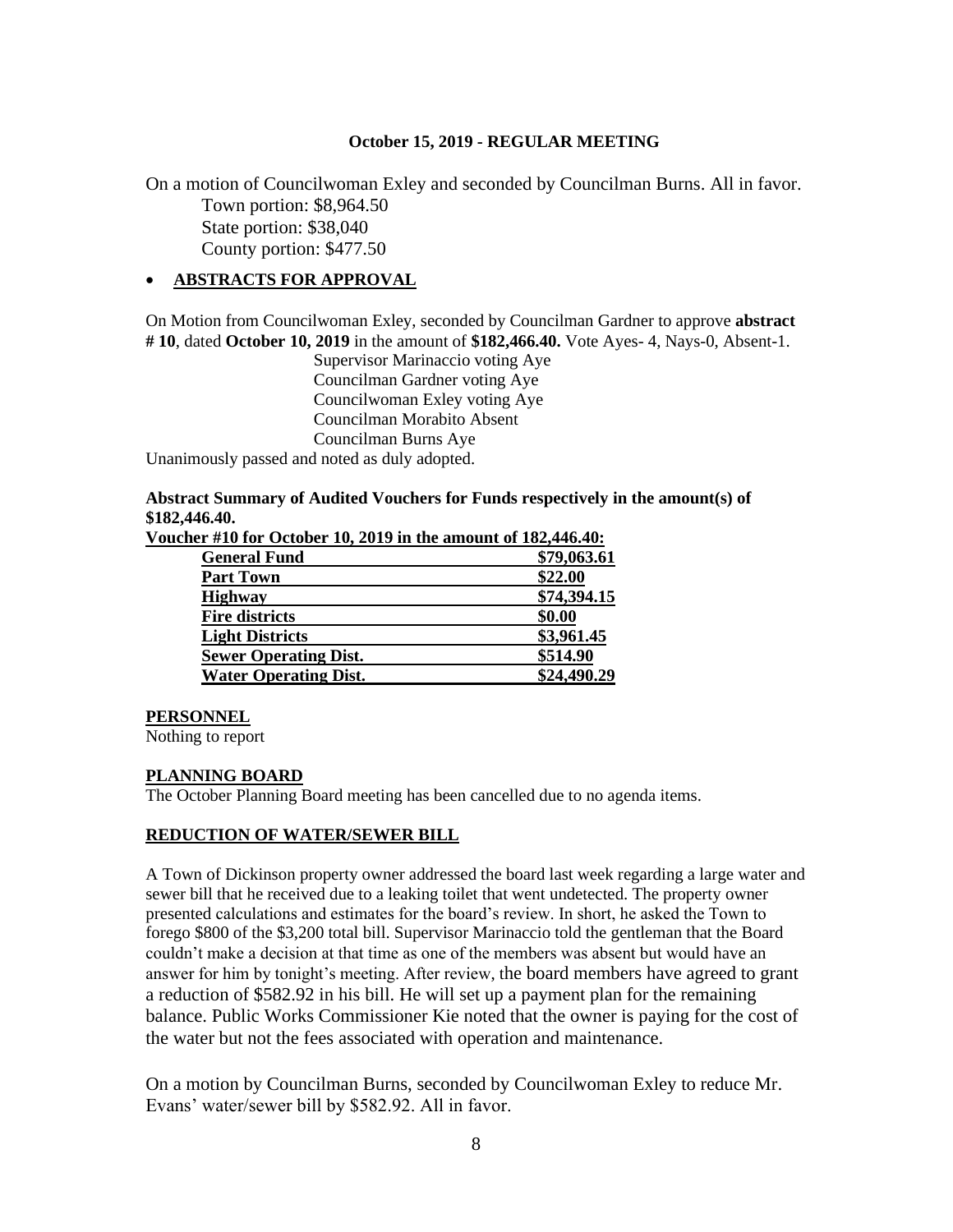On a motion of Councilwoman Exley and seconded by Councilman Burns. All in favor. Town portion: \$8,964.50 State portion: \$38,040 County portion: \$477.50

# • **ABSTRACTS FOR APPROVAL**

On Motion from Councilwoman Exley, seconded by Councilman Gardner to approve **abstract # 10**, dated **October 10, 2019** in the amount of **\$182,466.40.** Vote Ayes- 4, Nays-0, Absent-1.

Supervisor Marinaccio voting Aye Councilman Gardner voting Aye Councilwoman Exley voting Aye Councilman Morabito Absent Councilman Burns Aye

Unanimously passed and noted as duly adopted.

#### **Abstract Summary of Audited Vouchers for Funds respectively in the amount(s) of \$182,446.40. Voucher #10 for October 10, 2019 in the amount of 182,446.40:**

| lef #10 for October 10, 2019 in the amount of 182,440.40: |             |
|-----------------------------------------------------------|-------------|
| <b>General Fund</b>                                       | \$79,063.61 |
| <b>Part Town</b>                                          | \$22.00     |
| <b>Highway</b>                                            | \$74,394.15 |
| <b>Fire districts</b>                                     | \$0.00      |
| <b>Light Districts</b>                                    | \$3,961.45  |
| <b>Sewer Operating Dist.</b>                              | \$514.90    |
| <b>Water Operating Dist.</b>                              | \$24,490.29 |
|                                                           |             |

## **PERSONNEL**

Nothing to report

# **PLANNING BOARD**

The October Planning Board meeting has been cancelled due to no agenda items.

# **REDUCTION OF WATER/SEWER BILL**

A Town of Dickinson property owner addressed the board last week regarding a large water and sewer bill that he received due to a leaking toilet that went undetected. The property owner presented calculations and estimates for the board's review. In short, he asked the Town to forego \$800 of the \$3,200 total bill. Supervisor Marinaccio told the gentleman that the Board couldn't make a decision at that time as one of the members was absent but would have an answer for him by tonight's meeting. After review, the board members have agreed to grant a reduction of \$582.92 in his bill. He will set up a payment plan for the remaining balance. Public Works Commissioner Kie noted that the owner is paying for the cost of the water but not the fees associated with operation and maintenance.

On a motion by Councilman Burns, seconded by Councilwoman Exley to reduce Mr. Evans' water/sewer bill by \$582.92. All in favor.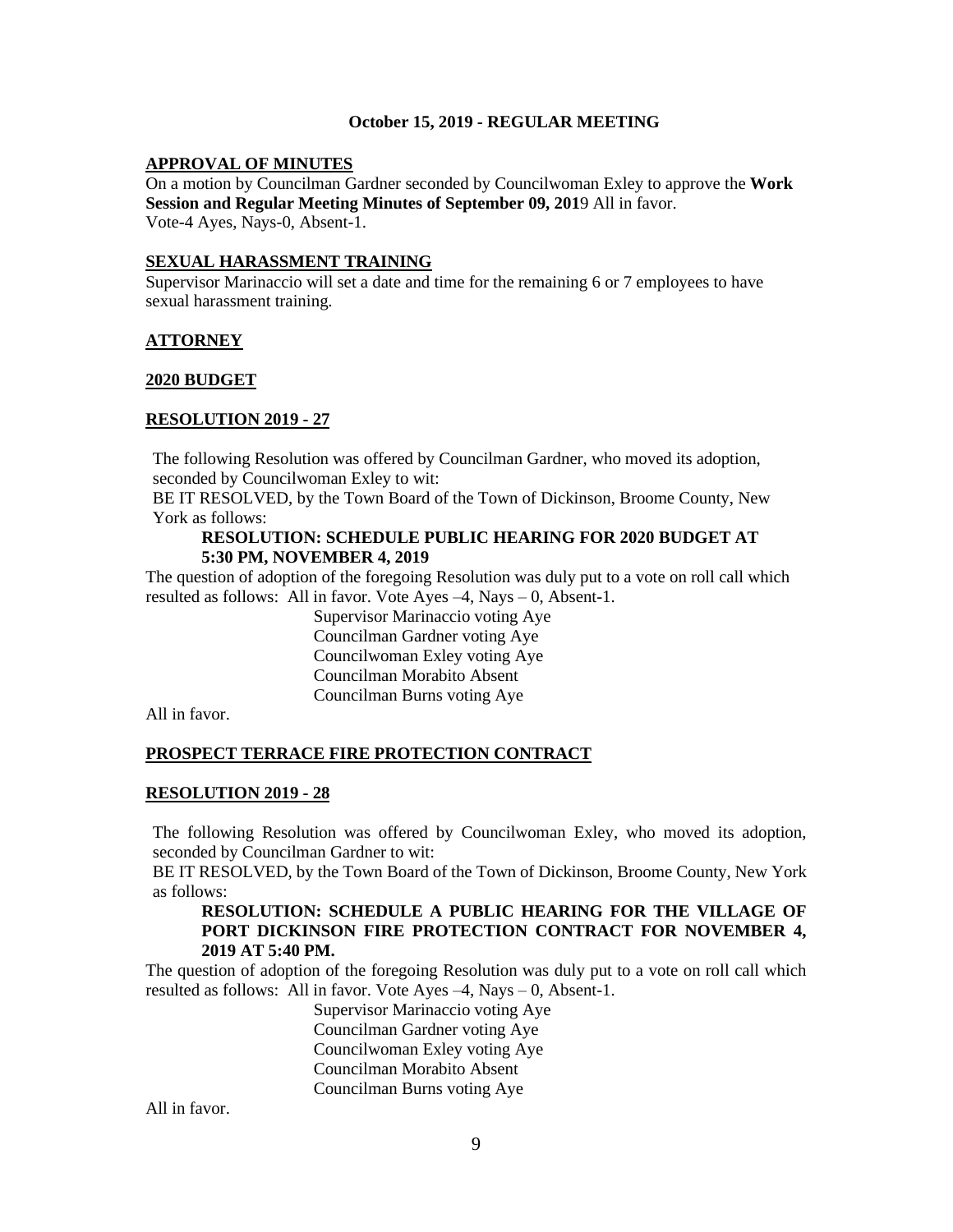### **APPROVAL OF MINUTES**

On a motion by Councilman Gardner seconded by Councilwoman Exley to approve the **Work Session and Regular Meeting Minutes of September 09, 201**9 All in favor. Vote-4 Ayes, Nays-0, Absent-1.

### **SEXUAL HARASSMENT TRAINING**

Supervisor Marinaccio will set a date and time for the remaining 6 or 7 employees to have sexual harassment training.

### **ATTORNEY**

### **2020 BUDGET**

## **RESOLUTION 2019 - 27**

The following Resolution was offered by Councilman Gardner, who moved its adoption, seconded by Councilwoman Exley to wit:

BE IT RESOLVED, by the Town Board of the Town of Dickinson, Broome County, New York as follows:

#### **RESOLUTION: SCHEDULE PUBLIC HEARING FOR 2020 BUDGET AT 5:30 PM, NOVEMBER 4, 2019**

The question of adoption of the foregoing Resolution was duly put to a vote on roll call which resulted as follows: All in favor. Vote Ayes  $-4$ , Nays  $-0$ , Absent-1.

Supervisor Marinaccio voting Aye Councilman Gardner voting Aye Councilwoman Exley voting Aye Councilman Morabito Absent Councilman Burns voting Aye

All in favor.

# **PROSPECT TERRACE FIRE PROTECTION CONTRACT**

#### **RESOLUTION 2019 - 28**

The following Resolution was offered by Councilwoman Exley, who moved its adoption, seconded by Councilman Gardner to wit:

BE IT RESOLVED, by the Town Board of the Town of Dickinson, Broome County, New York as follows:

### **RESOLUTION: SCHEDULE A PUBLIC HEARING FOR THE VILLAGE OF PORT DICKINSON FIRE PROTECTION CONTRACT FOR NOVEMBER 4, 2019 AT 5:40 PM.**

The question of adoption of the foregoing Resolution was duly put to a vote on roll call which resulted as follows: All in favor. Vote Ayes –4, Nays – 0, Absent-1.

> Supervisor Marinaccio voting Aye Councilman Gardner voting Aye Councilwoman Exley voting Aye Councilman Morabito Absent Councilman Burns voting Aye

All in favor.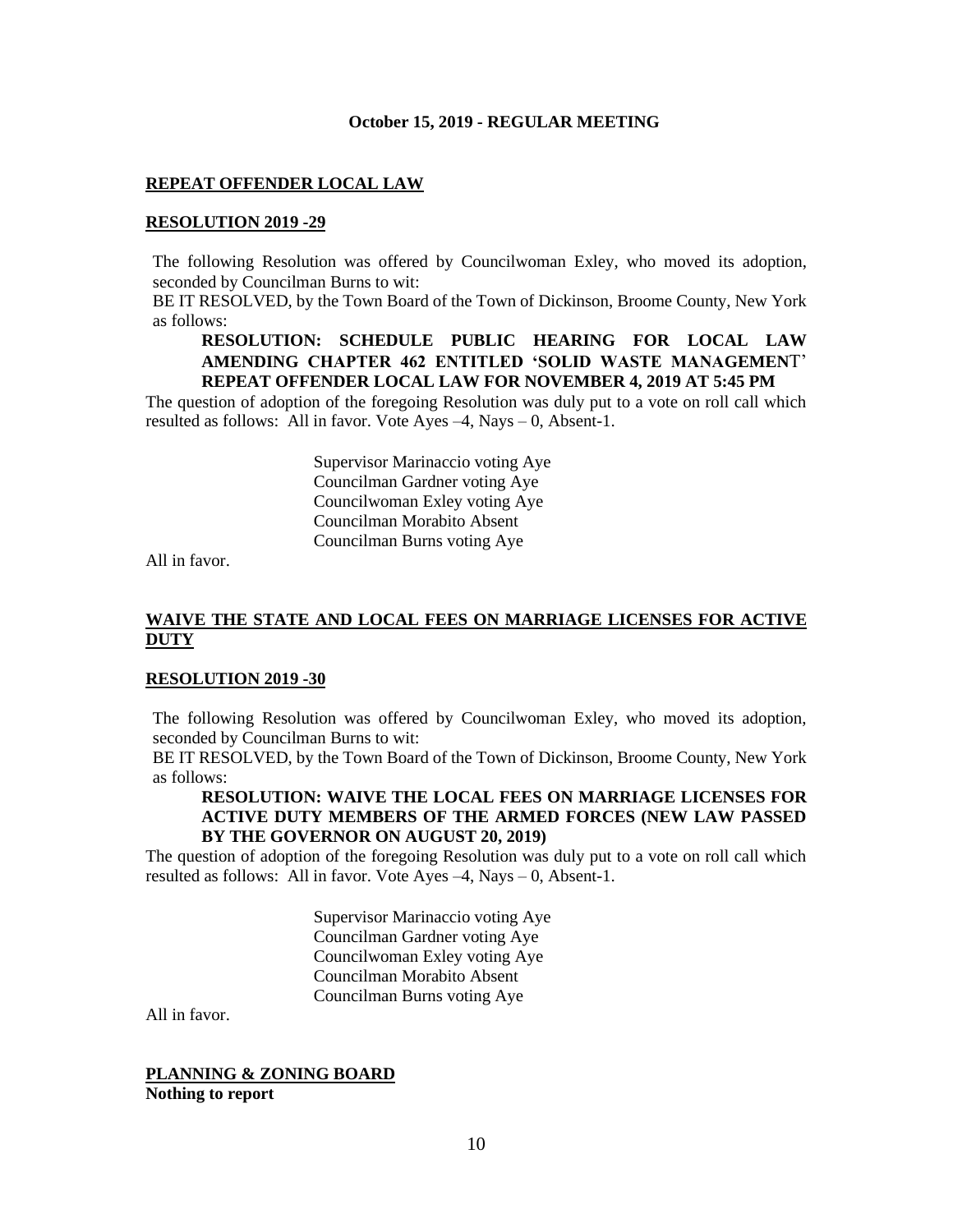### **REPEAT OFFENDER LOCAL LAW**

### **RESOLUTION 2019 -29**

The following Resolution was offered by Councilwoman Exley, who moved its adoption, seconded by Councilman Burns to wit:

BE IT RESOLVED, by the Town Board of the Town of Dickinson, Broome County, New York as follows:

### **RESOLUTION: SCHEDULE PUBLIC HEARING FOR LOCAL LAW AMENDING CHAPTER 462 ENTITLED 'SOLID WASTE MANAGEMEN**T' **REPEAT OFFENDER LOCAL LAW FOR NOVEMBER 4, 2019 AT 5:45 PM**

The question of adoption of the foregoing Resolution was duly put to a vote on roll call which resulted as follows: All in favor. Vote Ayes –4, Nays – 0, Absent-1.

> Supervisor Marinaccio voting Aye Councilman Gardner voting Aye Councilwoman Exley voting Aye Councilman Morabito Absent Councilman Burns voting Aye

All in favor.

# **WAIVE THE STATE AND LOCAL FEES ON MARRIAGE LICENSES FOR ACTIVE DUTY**

#### **RESOLUTION 2019 -30**

The following Resolution was offered by Councilwoman Exley, who moved its adoption, seconded by Councilman Burns to wit:

BE IT RESOLVED, by the Town Board of the Town of Dickinson, Broome County, New York as follows:

# **RESOLUTION: WAIVE THE LOCAL FEES ON MARRIAGE LICENSES FOR ACTIVE DUTY MEMBERS OF THE ARMED FORCES (NEW LAW PASSED BY THE GOVERNOR ON AUGUST 20, 2019)**

The question of adoption of the foregoing Resolution was duly put to a vote on roll call which resulted as follows: All in favor. Vote Ayes –4, Nays – 0, Absent-1.

> Supervisor Marinaccio voting Aye Councilman Gardner voting Aye Councilwoman Exley voting Aye Councilman Morabito Absent Councilman Burns voting Aye

All in favor.

**PLANNING & ZONING BOARD Nothing to report**